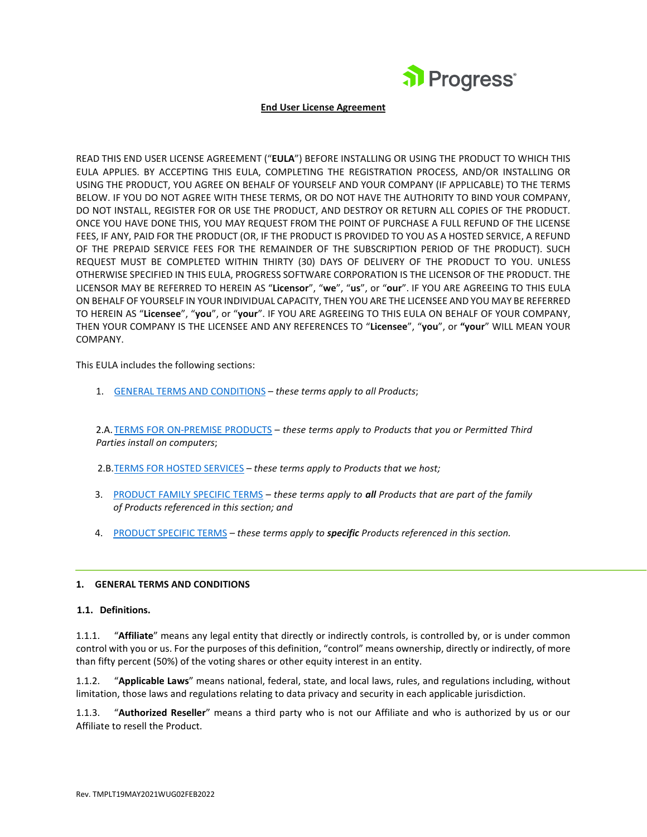

#### **End User License Agreement**

READ THIS END USER LICENSE AGREEMENT ("**EULA**") BEFORE INSTALLING OR USING THE PRODUCT TO WHICH THIS EULA APPLIES. BY ACCEPTING THIS EULA, COMPLETING THE REGISTRATION PROCESS, AND/OR INSTALLING OR USING THE PRODUCT, YOU AGREE ON BEHALF OF YOURSELF AND YOUR COMPANY (IF APPLICABLE) TO THE TERMS BELOW. IF YOU DO NOT AGREE WITH THESE TERMS, OR DO NOT HAVE THE AUTHORITY TO BIND YOUR COMPANY, DO NOT INSTALL, REGISTER FOR OR USE THE PRODUCT, AND DESTROY OR RETURN ALL COPIES OF THE PRODUCT. ONCE YOU HAVE DONE THIS, YOU MAY REQUEST FROM THE POINT OF PURCHASE A FULL REFUND OF THE LICENSE FEES, IF ANY, PAID FOR THE PRODUCT (OR, IF THE PRODUCT IS PROVIDED TO YOU AS A HOSTED SERVICE, A REFUND OF THE PREPAID SERVICE FEES FOR THE REMAINDER OF THE SUBSCRIPTION PERIOD OF THE PRODUCT). SUCH REQUEST MUST BE COMPLETED WITHIN THIRTY (30) DAYS OF DELIVERY OF THE PRODUCT TO YOU. UNLESS OTHERWISE SPECIFIED IN THIS EULA, PROGRESS SOFTWARE CORPORATION IS THE LICENSOR OF THE PRODUCT. THE LICENSOR MAY BE REFERRED TO HEREIN AS "**Licensor**", "**we**", "**us**", or "**our**". IF YOU ARE AGREEING TO THIS EULA ON BEHALF OF YOURSELF IN YOUR INDIVIDUAL CAPACITY, THEN YOU ARE THE LICENSEE AND YOU MAY BE REFERRED TO HEREIN AS "**Licensee**", "**you**", or "**your**". IF YOU ARE AGREEING TO THIS EULA ON BEHALF OF YOUR COMPANY, THEN YOUR COMPANY IS THE LICENSEE AND ANY REFERENCES TO "**Licensee**", "**you**", or **"your**" WILL MEAN YOUR COMPANY.

This EULA includes the following sections:

1. [GENERAL TERMS AND CONDITIONS](#page-0-0) – *these terms apply to all Products*;

2.A. TERMS FOR ON-PREMISE PRODUCTS – *these terms apply to Products that you or Permitted Third Parties install on computers*;

2.B[.TERMS FOR HOSTED SERVICES](#page-10-0) – *these terms apply to Products that we host;*

- 3. [PRODUCT FAMILY SPECIFIC TERMS](#page-11-0) *these terms apply to all Products that are part of the family of Products referenced in this section; and*
- 4. [PRODUCT SPECIFIC TERMS](#page-14-0) *these terms apply to specific Products referenced in this section.*

#### <span id="page-0-0"></span>**1. GENERAL TERMS AND CONDITIONS**

#### **1.1. Definitions.**

1.1.1. "**Affiliate**" means any legal entity that directly or indirectly controls, is controlled by, or is under common control with you or us. For the purposes of this definition, "control" means ownership, directly or indirectly, of more than fifty percent (50%) of the voting shares or other equity interest in an entity.

1.1.2. "**Applicable Laws**" means national, federal, state, and local laws, rules, and regulations including, without limitation, those laws and regulations relating to data privacy and security in each applicable jurisdiction.

1.1.3. "**Authorized Reseller**" means a third party who is not our Affiliate and who is authorized by us or our Affiliate to resell the Product.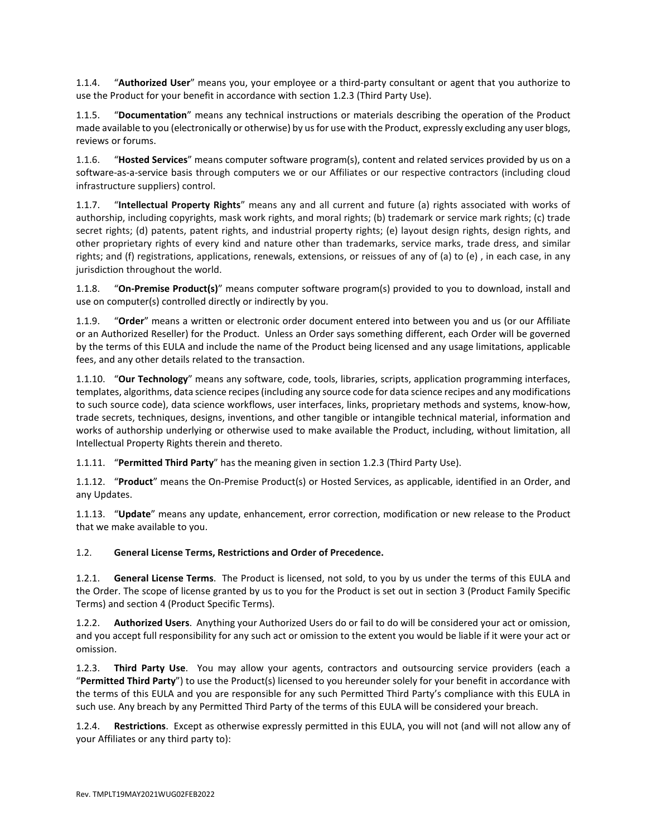1.1.4. "**Authorized User**" means you, your employee or a third-party consultant or agent that you authorize to use the Product for your benefit in accordance with section 1.2.3 (Third Party Use).

1.1.5. "**Documentation**" means any technical instructions or materials describing the operation of the Product made available to you (electronically or otherwise) by us for use with the Product, expressly excluding any user blogs, reviews or forums.

1.1.6. "**Hosted Services**" means computer software program(s), content and related services provided by us on a software-as-a-service basis through computers we or our Affiliates or our respective contractors (including cloud infrastructure suppliers) control.

1.1.7. "**Intellectual Property Rights**" means any and all current and future (a) rights associated with works of authorship, including copyrights, mask work rights, and moral rights; (b) trademark or service mark rights; (c) trade secret rights; (d) patents, patent rights, and industrial property rights; (e) layout design rights, design rights, and other proprietary rights of every kind and nature other than trademarks, service marks, trade dress, and similar rights; and (f) registrations, applications, renewals, extensions, or reissues of any of (a) to (e) , in each case, in any jurisdiction throughout the world.

1.1.8. "**On-Premise Product(s)**" means computer software program(s) provided to you to download, install and use on computer(s) controlled directly or indirectly by you.

1.1.9. "**Order**" means a written or electronic order document entered into between you and us (or our Affiliate or an Authorized Reseller) for the Product. Unless an Order says something different, each Order will be governed by the terms of this EULA and include the name of the Product being licensed and any usage limitations, applicable fees, and any other details related to the transaction.

1.1.10. "**Our Technology**" means any software, code, tools, libraries, scripts, application programming interfaces, templates, algorithms, data science recipes (including any source code for data science recipes and any modifications to such source code), data science workflows, user interfaces, links, proprietary methods and systems, know-how, trade secrets, techniques, designs, inventions, and other tangible or intangible technical material, information and works of authorship underlying or otherwise used to make available the Product, including, without limitation, all Intellectual Property Rights therein and thereto.

1.1.11. "**Permitted Third Party**" has the meaning given in section 1.2.3 (Third Party Use).

1.1.12. "**Product**" means the On-Premise Product(s) or Hosted Services, as applicable, identified in an Order, and any Updates.

1.1.13. "**Update**" means any update, enhancement, error correction, modification or new release to the Product that we make available to you.

1.2. **General License Terms, Restrictions and Order of Precedence.**

1.2.1. **General License Terms**. The Product is licensed, not sold, to you by us under the terms of this EULA and the Order. The scope of license granted by us to you for the Product is set out in section 3 (Product Family Specific Terms) and section 4 (Product Specific Terms).

1.2.2. **Authorized Users**. Anything your Authorized Users do or fail to do will be considered your act or omission, and you accept full responsibility for any such act or omission to the extent you would be liable if it were your act or omission.

1.2.3. **Third Party Use**. You may allow your agents, contractors and outsourcing service providers (each a "**Permitted Third Party**") to use the Product(s) licensed to you hereunder solely for your benefit in accordance with the terms of this EULA and you are responsible for any such Permitted Third Party's compliance with this EULA in such use. Any breach by any Permitted Third Party of the terms of this EULA will be considered your breach.

1.2.4. **Restrictions**. Except as otherwise expressly permitted in this EULA, you will not (and will not allow any of your Affiliates or any third party to):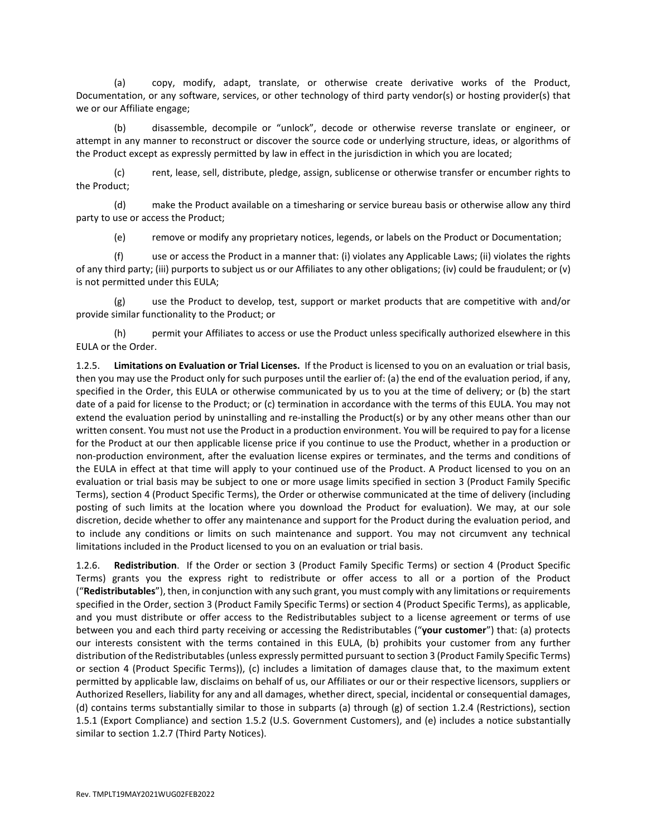(a) copy, modify, adapt, translate, or otherwise create derivative works of the Product, Documentation, or any software, services, or other technology of third party vendor(s) or hosting provider(s) that we or our Affiliate engage;

(b) disassemble, decompile or "unlock", decode or otherwise reverse translate or engineer, or attempt in any manner to reconstruct or discover the source code or underlying structure, ideas, or algorithms of the Product except as expressly permitted by law in effect in the jurisdiction in which you are located;

(c) rent, lease, sell, distribute, pledge, assign, sublicense or otherwise transfer or encumber rights to the Product;

(d) make the Product available on a timesharing or service bureau basis or otherwise allow any third party to use or access the Product;

(e) remove or modify any proprietary notices, legends, or labels on the Product or Documentation;

(f) use or access the Product in a manner that: (i) violates any Applicable Laws; (ii) violates the rights of any third party; (iii) purports to subject us or our Affiliates to any other obligations; (iv) could be fraudulent; or (v) is not permitted under this EULA;

(g) use the Product to develop, test, support or market products that are competitive with and/or provide similar functionality to the Product; or

(h) permit your Affiliates to access or use the Product unless specifically authorized elsewhere in this EULA or the Order.

1.2.5. **Limitations on Evaluation or Trial Licenses.** If the Product is licensed to you on an evaluation or trial basis, then you may use the Product only for such purposes until the earlier of: (a) the end of the evaluation period, if any, specified in the Order, this EULA or otherwise communicated by us to you at the time of delivery; or (b) the start date of a paid for license to the Product; or (c) termination in accordance with the terms of this EULA. You may not extend the evaluation period by uninstalling and re-installing the Product(s) or by any other means other than our written consent. You must not use the Product in a production environment. You will be required to pay for a license for the Product at our then applicable license price if you continue to use the Product, whether in a production or non-production environment, after the evaluation license expires or terminates, and the terms and conditions of the EULA in effect at that time will apply to your continued use of the Product. A Product licensed to you on an evaluation or trial basis may be subject to one or more usage limits specified in section 3 (Product Family Specific Terms), section 4 (Product Specific Terms), the Order or otherwise communicated at the time of delivery (including posting of such limits at the location where you download the Product for evaluation). We may, at our sole discretion, decide whether to offer any maintenance and support for the Product during the evaluation period, and to include any conditions or limits on such maintenance and support. You may not circumvent any technical limitations included in the Product licensed to you on an evaluation or trial basis.

1.2.6. **Redistribution**. If the Order or section 3 (Product Family Specific Terms) or section 4 (Product Specific Terms) grants you the express right to redistribute or offer access to all or a portion of the Product ("**Redistributables**"), then, in conjunction with any such grant, you must comply with any limitations or requirements specified in the Order, section 3 (Product Family Specific Terms) or section 4 (Product Specific Terms), as applicable, and you must distribute or offer access to the Redistributables subject to a license agreement or terms of use between you and each third party receiving or accessing the Redistributables ("**your customer**") that: (a) protects our interests consistent with the terms contained in this EULA, (b) prohibits your customer from any further distribution of the Redistributables (unless expressly permitted pursuant to section 3 (Product Family Specific Terms) or section 4 (Product Specific Terms)), (c) includes a limitation of damages clause that, to the maximum extent permitted by applicable law, disclaims on behalf of us, our Affiliates or our or their respective licensors, suppliers or Authorized Resellers, liability for any and all damages, whether direct, special, incidental or consequential damages, (d) contains terms substantially similar to those in subparts (a) through (g) of section 1.2.4 (Restrictions), section 1.5.1 (Export Compliance) and section 1.5.2 (U.S. Government Customers), and (e) includes a notice substantially similar to section 1.2.7 (Third Party Notices).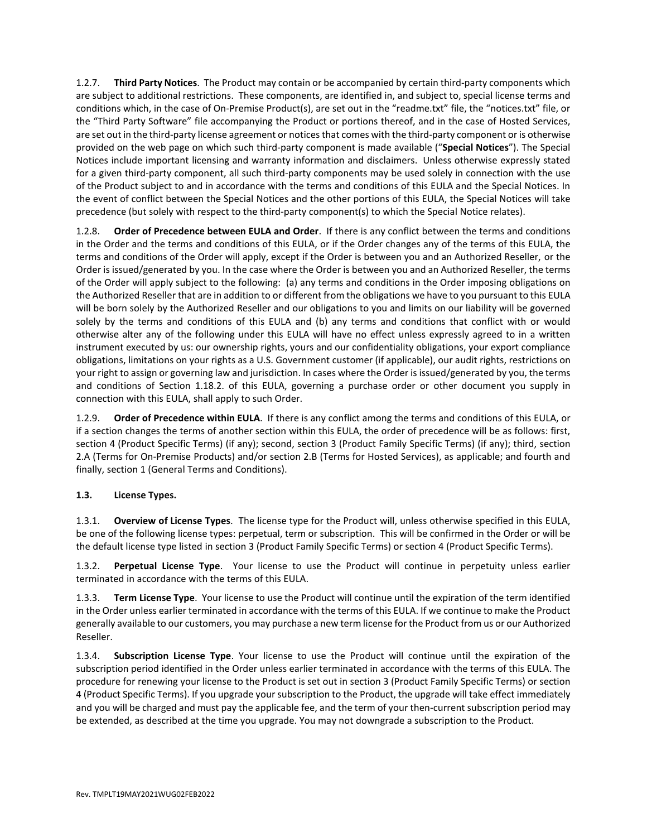1.2.7. **Third Party Notices**. The Product may contain or be accompanied by certain third-party components which are subject to additional restrictions. These components, are identified in, and subject to, special license terms and conditions which, in the case of On-Premise Product(s), are set out in the "readme.txt" file, the "notices.txt" file, or the "Third Party Software" file accompanying the Product or portions thereof, and in the case of Hosted Services, are set out in the third-party license agreement or notices that comes with the third-party component or is otherwise provided on the web page on which such third-party component is made available ("**Special Notices**"). The Special Notices include important licensing and warranty information and disclaimers. Unless otherwise expressly stated for a given third-party component, all such third-party components may be used solely in connection with the use of the Product subject to and in accordance with the terms and conditions of this EULA and the Special Notices. In the event of conflict between the Special Notices and the other portions of this EULA, the Special Notices will take precedence (but solely with respect to the third-party component(s) to which the Special Notice relates).

1.2.8. **Order of Precedence between EULA and Order**. If there is any conflict between the terms and conditions in the Order and the terms and conditions of this EULA, or if the Order changes any of the terms of this EULA, the terms and conditions of the Order will apply, except if the Order is between you and an Authorized Reseller, or the Order is issued/generated by you. In the case where the Order is between you and an Authorized Reseller, the terms of the Order will apply subject to the following: (a) any terms and conditions in the Order imposing obligations on the Authorized Reseller that are in addition to or different from the obligations we have to you pursuant to this EULA will be born solely by the Authorized Reseller and our obligations to you and limits on our liability will be governed solely by the terms and conditions of this EULA and (b) any terms and conditions that conflict with or would otherwise alter any of the following under this EULA will have no effect unless expressly agreed to in a written instrument executed by us: our ownership rights, yours and our confidentiality obligations, your export compliance obligations, limitations on your rights as a U.S. Government customer (if applicable), our audit rights, restrictions on your right to assign or governing law and jurisdiction. In cases where the Order is issued/generated by you, the terms and conditions of Section 1.18.2. of this EULA, governing a purchase order or other document you supply in connection with this EULA, shall apply to such Order.

1.2.9. **Order of Precedence within EULA**. If there is any conflict among the terms and conditions of this EULA, or if a section changes the terms of another section within this EULA, the order of precedence will be as follows: first, section 4 (Product Specific Terms) (if any); second, section 3 (Product Family Specific Terms) (if any); third, section 2.A (Terms for On-Premise Products) and/or section 2.B (Terms for Hosted Services), as applicable; and fourth and finally, section 1 (General Terms and Conditions).

### **1.3. License Types.**

1.3.1. **Overview of License Types**. The license type for the Product will, unless otherwise specified in this EULA, be one of the following license types: perpetual, term or subscription. This will be confirmed in the Order or will be the default license type listed in section 3 (Product Family Specific Terms) or section 4 (Product Specific Terms).

1.3.2. **Perpetual License Type**. Your license to use the Product will continue in perpetuity unless earlier terminated in accordance with the terms of this EULA.

1.3.3. **Term License Type**. Your license to use the Product will continue until the expiration of the term identified in the Order unless earlier terminated in accordance with the terms of this EULA. If we continue to make the Product generally available to our customers, you may purchase a new term license for the Product from us or our Authorized Reseller.

1.3.4. **Subscription License Type**. Your license to use the Product will continue until the expiration of the subscription period identified in the Order unless earlier terminated in accordance with the terms of this EULA. The procedure for renewing your license to the Product is set out in section 3 (Product Family Specific Terms) or section 4 (Product Specific Terms). If you upgrade your subscription to the Product, the upgrade will take effect immediately and you will be charged and must pay the applicable fee, and the term of your then-current subscription period may be extended, as described at the time you upgrade. You may not downgrade a subscription to the Product.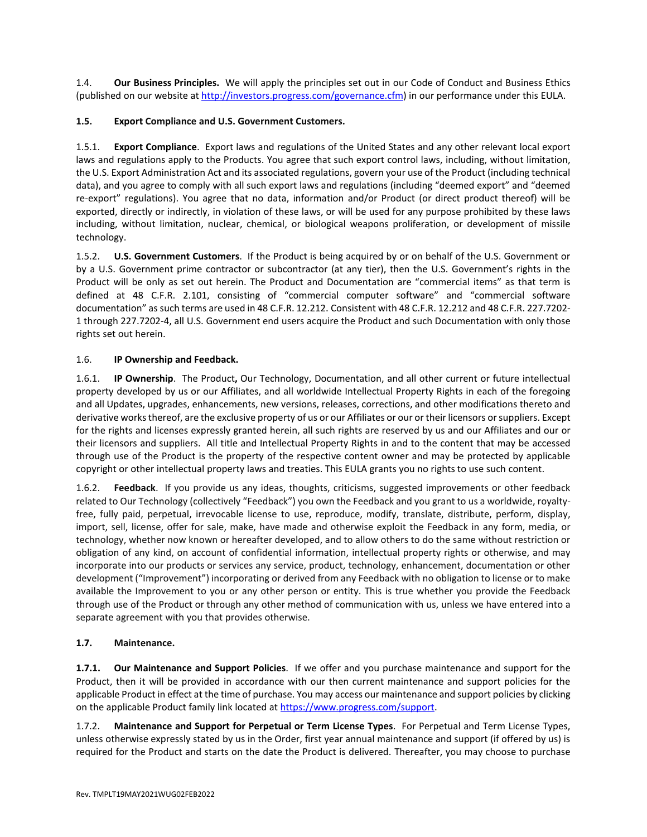1.4. **Our Business Principles.** We will apply the principles set out in our Code of Conduct and Business Ethics (published on our website a[t http://investors.progress.com/governance.cfm\)](http://investors.progress.com/governance.cfm) in our performance under this EULA.

## **1.5. Export Compliance and U.S. Government Customers.**

1.5.1. **Export Compliance**. Export laws and regulations of the United States and any other relevant local export laws and regulations apply to the Products. You agree that such export control laws, including, without limitation, the U.S. Export Administration Act and its associated regulations, govern your use of the Product (including technical data), and you agree to comply with all such export laws and regulations (including "deemed export" and "deemed re-export" regulations). You agree that no data, information and/or Product (or direct product thereof) will be exported, directly or indirectly, in violation of these laws, or will be used for any purpose prohibited by these laws including, without limitation, nuclear, chemical, or biological weapons proliferation, or development of missile technology.

1.5.2. **U.S. Government Customers**. If the Product is being acquired by or on behalf of the U.S. Government or by a U.S. Government prime contractor or subcontractor (at any tier), then the U.S. Government's rights in the Product will be only as set out herein. The Product and Documentation are "commercial items" as that term is defined at 48 C.F.R. 2.101, consisting of "commercial computer software" and "commercial software documentation" as such terms are used in 48 C.F.R. 12.212. Consistent with 48 C.F.R. 12.212 and 48 C.F.R. 227.7202- 1 through 227.7202-4, all U.S. Government end users acquire the Product and such Documentation with only those rights set out herein.

## 1.6. **IP Ownership and Feedback.**

1.6.1. **IP Ownership**. The Product**,** Our Technology, Documentation, and all other current or future intellectual property developed by us or our Affiliates, and all worldwide Intellectual Property Rights in each of the foregoing and all Updates, upgrades, enhancements, new versions, releases, corrections, and other modifications thereto and derivative works thereof, are the exclusive property of us or our Affiliates or our or their licensors or suppliers. Except for the rights and licenses expressly granted herein, all such rights are reserved by us and our Affiliates and our or their licensors and suppliers. All title and Intellectual Property Rights in and to the content that may be accessed through use of the Product is the property of the respective content owner and may be protected by applicable copyright or other intellectual property laws and treaties. This EULA grants you no rights to use such content.

Feedback. If you provide us any ideas, thoughts, criticisms, suggested improvements or other feedback related to Our Technology (collectively "Feedback") you own the Feedback and you grant to us a worldwide, royaltyfree, fully paid, perpetual, irrevocable license to use, reproduce, modify, translate, distribute, perform, display, import, sell, license, offer for sale, make, have made and otherwise exploit the Feedback in any form, media, or technology, whether now known or hereafter developed, and to allow others to do the same without restriction or obligation of any kind, on account of confidential information, intellectual property rights or otherwise, and may incorporate into our products or services any service, product, technology, enhancement, documentation or other development ("Improvement") incorporating or derived from any Feedback with no obligation to license or to make available the Improvement to you or any other person or entity. This is true whether you provide the Feedback through use of the Product or through any other method of communication with us, unless we have entered into a separate agreement with you that provides otherwise.

# **1.7. Maintenance.**

**1.7.1. Our Maintenance and Support Policies**. If we offer and you purchase maintenance and support for the Product, then it will be provided in accordance with our then current maintenance and support policies for the applicable Product in effect at the time of purchase. You may access our maintenance and support policies by clicking on the applicable Product family link located a[t https://www.progress.com/support.](https://www.progress.com/support) 

1.7.2. **Maintenance and Support for Perpetual or Term License Types**. For Perpetual and Term License Types, unless otherwise expressly stated by us in the Order, first year annual maintenance and support (if offered by us) is required for the Product and starts on the date the Product is delivered. Thereafter, you may choose to purchase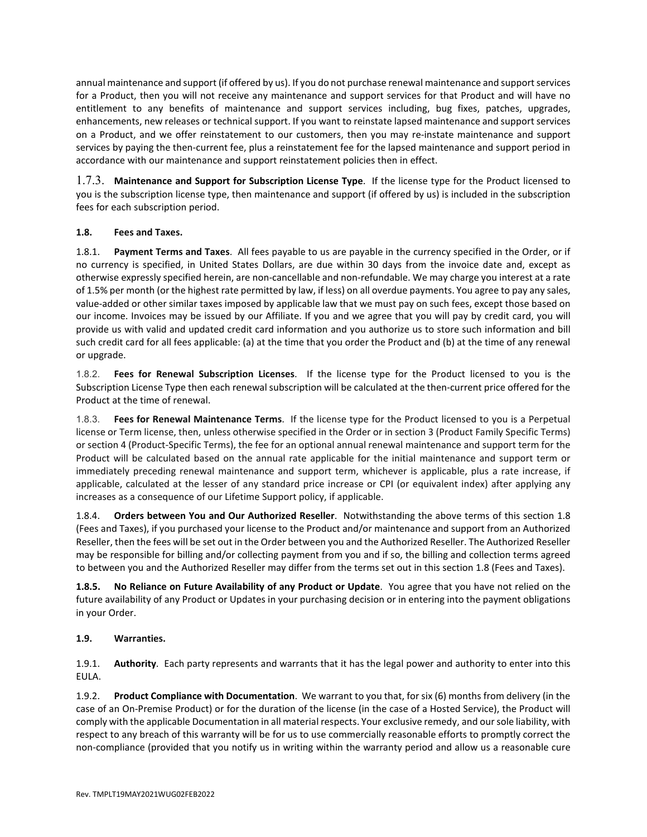annual maintenance and support (if offered by us). If you do not purchase renewal maintenance and support services for a Product, then you will not receive any maintenance and support services for that Product and will have no entitlement to any benefits of maintenance and support services including, bug fixes, patches, upgrades, enhancements, new releases or technical support. If you want to reinstate lapsed maintenance and support services on a Product, and we offer reinstatement to our customers, then you may re-instate maintenance and support services by paying the then-current fee, plus a reinstatement fee for the lapsed maintenance and support period in accordance with our maintenance and support reinstatement policies then in effect.

1.7.3. **Maintenance and Support for Subscription License Type**. If the license type for the Product licensed to you is the subscription license type, then maintenance and support (if offered by us) is included in the subscription fees for each subscription period.

## **1.8. Fees and Taxes.**

1.8.1. **Payment Terms and Taxes**. All fees payable to us are payable in the currency specified in the Order, or if no currency is specified, in United States Dollars, are due within 30 days from the invoice date and, except as otherwise expressly specified herein, are non-cancellable and non-refundable. We may charge you interest at a rate of 1.5% per month (or the highest rate permitted by law, if less) on all overdue payments. You agree to pay any sales, value-added or other similar taxes imposed by applicable law that we must pay on such fees, except those based on our income. Invoices may be issued by our Affiliate. If you and we agree that you will pay by credit card, you will provide us with valid and updated credit card information and you authorize us to store such information and bill such credit card for all fees applicable: (a) at the time that you order the Product and (b) at the time of any renewal or upgrade.

1.8.2. **Fees for Renewal Subscription Licenses**. If the license type for the Product licensed to you is the Subscription License Type then each renewal subscription will be calculated at the then-current price offered for the Product at the time of renewal.

1.8.3. **Fees for Renewal Maintenance Terms**. If the license type for the Product licensed to you is a Perpetual license or Term license, then, unless otherwise specified in the Order or in section 3 (Product Family Specific Terms) or section 4 (Product-Specific Terms), the fee for an optional annual renewal maintenance and support term for the Product will be calculated based on the annual rate applicable for the initial maintenance and support term or immediately preceding renewal maintenance and support term, whichever is applicable, plus a rate increase, if applicable, calculated at the lesser of any standard price increase or CPI (or equivalent index) after applying any increases as a consequence of our Lifetime Support policy, if applicable.

1.8.4. **Orders between You and Our Authorized Reseller**. Notwithstanding the above terms of this section 1.8 (Fees and Taxes), if you purchased your license to the Product and/or maintenance and support from an Authorized Reseller, then the fees will be set out in the Order between you and the Authorized Reseller. The Authorized Reseller may be responsible for billing and/or collecting payment from you and if so, the billing and collection terms agreed to between you and the Authorized Reseller may differ from the terms set out in this section 1.8 (Fees and Taxes).

**1.8.5. No Reliance on Future Availability of any Product or Update**. You agree that you have not relied on the future availability of any Product or Updates in your purchasing decision or in entering into the payment obligations in your Order.

# **1.9. Warranties.**

1.9.1. **Authority**. Each party represents and warrants that it has the legal power and authority to enter into this EULA.

1.9.2. **Product Compliance with Documentation**. We warrant to you that, for six (6) months from delivery (in the case of an On-Premise Product) or for the duration of the license (in the case of a Hosted Service), the Product will comply with the applicable Documentation in all material respects. Your exclusive remedy, and our sole liability, with respect to any breach of this warranty will be for us to use commercially reasonable efforts to promptly correct the non-compliance (provided that you notify us in writing within the warranty period and allow us a reasonable cure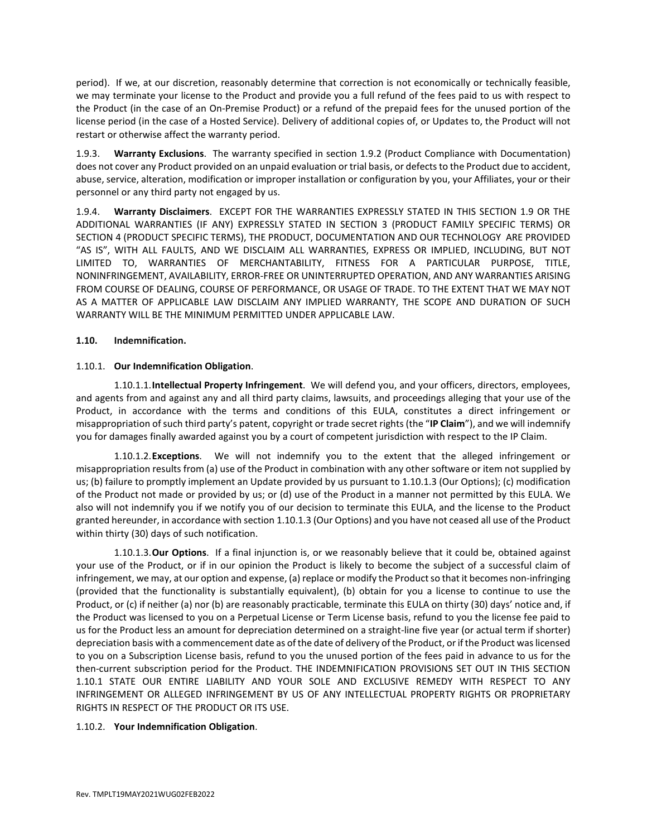period). If we, at our discretion, reasonably determine that correction is not economically or technically feasible, we may terminate your license to the Product and provide you a full refund of the fees paid to us with respect to the Product (in the case of an On-Premise Product) or a refund of the prepaid fees for the unused portion of the license period (in the case of a Hosted Service). Delivery of additional copies of, or Updates to, the Product will not restart or otherwise affect the warranty period.

1.9.3. **Warranty Exclusions**. The warranty specified in section 1.9.2 (Product Compliance with Documentation) does not cover any Product provided on an unpaid evaluation or trial basis, or defects to the Product due to accident, abuse, service, alteration, modification or improper installation or configuration by you, your Affiliates, your or their personnel or any third party not engaged by us.

1.9.4. **Warranty Disclaimers**. EXCEPT FOR THE WARRANTIES EXPRESSLY STATED IN THIS SECTION 1.9 OR THE ADDITIONAL WARRANTIES (IF ANY) EXPRESSLY STATED IN SECTION 3 (PRODUCT FAMILY SPECIFIC TERMS) OR SECTION 4 (PRODUCT SPECIFIC TERMS), THE PRODUCT, DOCUMENTATION AND OUR TECHNOLOGY ARE PROVIDED "AS IS", WITH ALL FAULTS, AND WE DISCLAIM ALL WARRANTIES, EXPRESS OR IMPLIED, INCLUDING, BUT NOT LIMITED TO, WARRANTIES OF MERCHANTABILITY, FITNESS FOR A PARTICULAR PURPOSE, TITLE, NONINFRINGEMENT, AVAILABILITY, ERROR-FREE OR UNINTERRUPTED OPERATION, AND ANY WARRANTIES ARISING FROM COURSE OF DEALING, COURSE OF PERFORMANCE, OR USAGE OF TRADE. TO THE EXTENT THAT WE MAY NOT AS A MATTER OF APPLICABLE LAW DISCLAIM ANY IMPLIED WARRANTY, THE SCOPE AND DURATION OF SUCH WARRANTY WILL BE THE MINIMUM PERMITTED UNDER APPLICABLE LAW.

#### **1.10. Indemnification.**

#### 1.10.1. **Our Indemnification Obligation**.

1.10.1.1.**Intellectual Property Infringement**. We will defend you, and your officers, directors, employees, and agents from and against any and all third party claims, lawsuits, and proceedings alleging that your use of the Product, in accordance with the terms and conditions of this EULA, constitutes a direct infringement or misappropriation of such third party's patent, copyright or trade secret rights (the "**IP Claim**"), and we will indemnify you for damages finally awarded against you by a court of competent jurisdiction with respect to the IP Claim.

1.10.1.2.**Exceptions**. We will not indemnify you to the extent that the alleged infringement or misappropriation results from (a) use of the Product in combination with any other software or item not supplied by us; (b) failure to promptly implement an Update provided by us pursuant to 1.10.1.3 (Our Options); (c) modification of the Product not made or provided by us; or (d) use of the Product in a manner not permitted by this EULA. We also will not indemnify you if we notify you of our decision to terminate this EULA, and the license to the Product granted hereunder, in accordance with section 1.10.1.3 (Our Options) and you have not ceased all use of the Product within thirty (30) days of such notification.

1.10.1.3.**Our Options**. If a final injunction is, or we reasonably believe that it could be, obtained against your use of the Product, or if in our opinion the Product is likely to become the subject of a successful claim of infringement, we may, at our option and expense, (a) replace or modify the Product so that it becomes non-infringing (provided that the functionality is substantially equivalent), (b) obtain for you a license to continue to use the Product, or (c) if neither (a) nor (b) are reasonably practicable, terminate this EULA on thirty (30) days' notice and, if the Product was licensed to you on a Perpetual License or Term License basis, refund to you the license fee paid to us for the Product less an amount for depreciation determined on a straight-line five year (or actual term if shorter) depreciation basis with a commencement date as of the date of delivery of the Product, or if the Product was licensed to you on a Subscription License basis, refund to you the unused portion of the fees paid in advance to us for the then-current subscription period for the Product. THE INDEMNIFICATION PROVISIONS SET OUT IN THIS SECTION 1.10.1 STATE OUR ENTIRE LIABILITY AND YOUR SOLE AND EXCLUSIVE REMEDY WITH RESPECT TO ANY INFRINGEMENT OR ALLEGED INFRINGEMENT BY US OF ANY INTELLECTUAL PROPERTY RIGHTS OR PROPRIETARY RIGHTS IN RESPECT OF THE PRODUCT OR ITS USE.

#### 1.10.2. **Your Indemnification Obligation**.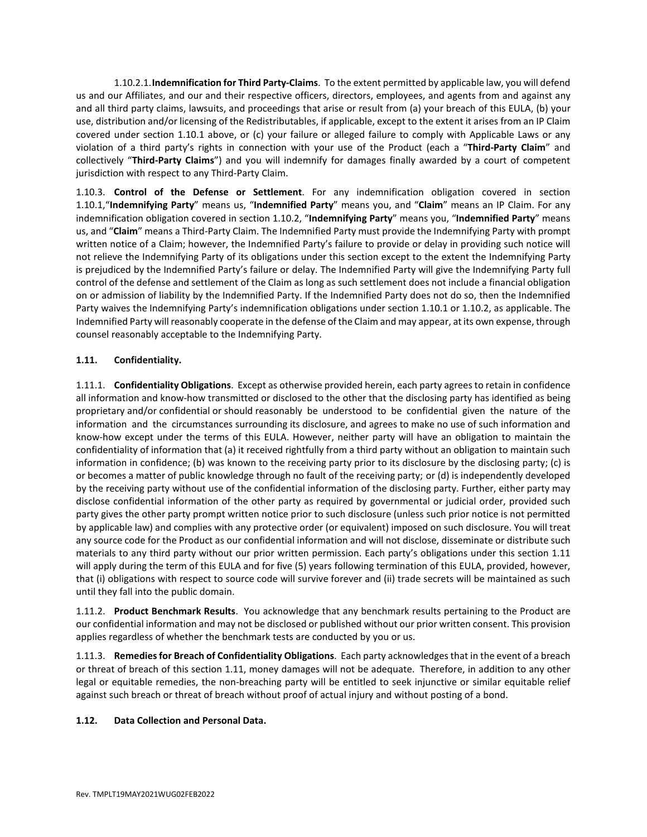1.10.2.1.**Indemnification for Third Party-Claims**. To the extent permitted by applicable law, you will defend us and our Affiliates, and our and their respective officers, directors, employees, and agents from and against any and all third party claims, lawsuits, and proceedings that arise or result from (a) your breach of this EULA, (b) your use, distribution and/or licensing of the Redistributables, if applicable, except to the extent it arises from an IP Claim covered under section 1.10.1 above, or (c) your failure or alleged failure to comply with Applicable Laws or any violation of a third party's rights in connection with your use of the Product (each a "**Third-Party Claim**" and collectively "**Third-Party Claims**") and you will indemnify for damages finally awarded by a court of competent jurisdiction with respect to any Third-Party Claim.

1.10.3. **Control of the Defense or Settlement**. For any indemnification obligation covered in section 1.10.1,"**Indemnifying Party**" means us, "**Indemnified Party**" means you, and "**Claim**" means an IP Claim. For any indemnification obligation covered in section 1.10.2, "**Indemnifying Party**" means you, "**Indemnified Party**" means us, and "**Claim**" means a Third-Party Claim. The Indemnified Party must provide the Indemnifying Party with prompt written notice of a Claim; however, the Indemnified Party's failure to provide or delay in providing such notice will not relieve the Indemnifying Party of its obligations under this section except to the extent the Indemnifying Party is prejudiced by the Indemnified Party's failure or delay. The Indemnified Party will give the Indemnifying Party full control of the defense and settlement of the Claim as long as such settlement does not include a financial obligation on or admission of liability by the Indemnified Party. If the Indemnified Party does not do so, then the Indemnified Party waives the Indemnifying Party's indemnification obligations under section 1.10.1 or 1.10.2, as applicable. The Indemnified Party will reasonably cooperate in the defense of the Claim and may appear, at its own expense, through counsel reasonably acceptable to the Indemnifying Party.

## **1.11. Confidentiality.**

1.11.1. **Confidentiality Obligations**. Except as otherwise provided herein, each party agrees to retain in confidence all information and know-how transmitted or disclosed to the other that the disclosing party has identified as being proprietary and/or confidential or should reasonably be understood to be confidential given the nature of the information and the circumstances surrounding its disclosure, and agrees to make no use of such information and know-how except under the terms of this EULA. However, neither party will have an obligation to maintain the confidentiality of information that (a) it received rightfully from a third party without an obligation to maintain such information in confidence; (b) was known to the receiving party prior to its disclosure by the disclosing party; (c) is or becomes a matter of public knowledge through no fault of the receiving party; or (d) is independently developed by the receiving party without use of the confidential information of the disclosing party. Further, either party may disclose confidential information of the other party as required by governmental or judicial order, provided such party gives the other party prompt written notice prior to such disclosure (unless such prior notice is not permitted by applicable law) and complies with any protective order (or equivalent) imposed on such disclosure. You will treat any source code for the Product as our confidential information and will not disclose, disseminate or distribute such materials to any third party without our prior written permission. Each party's obligations under this section 1.11 will apply during the term of this EULA and for five (5) years following termination of this EULA, provided, however, that (i) obligations with respect to source code will survive forever and (ii) trade secrets will be maintained as such until they fall into the public domain.

1.11.2. **Product Benchmark Results**. You acknowledge that any benchmark results pertaining to the Product are our confidential information and may not be disclosed or published without our prior written consent. This provision applies regardless of whether the benchmark tests are conducted by you or us.

1.11.3. **Remedies for Breach of Confidentiality Obligations**. Each party acknowledges that in the event of a breach or threat of breach of this section 1.11, money damages will not be adequate. Therefore, in addition to any other legal or equitable remedies, the non-breaching party will be entitled to seek injunctive or similar equitable relief against such breach or threat of breach without proof of actual injury and without posting of a bond.

### **1.12. Data Collection and Personal Data.**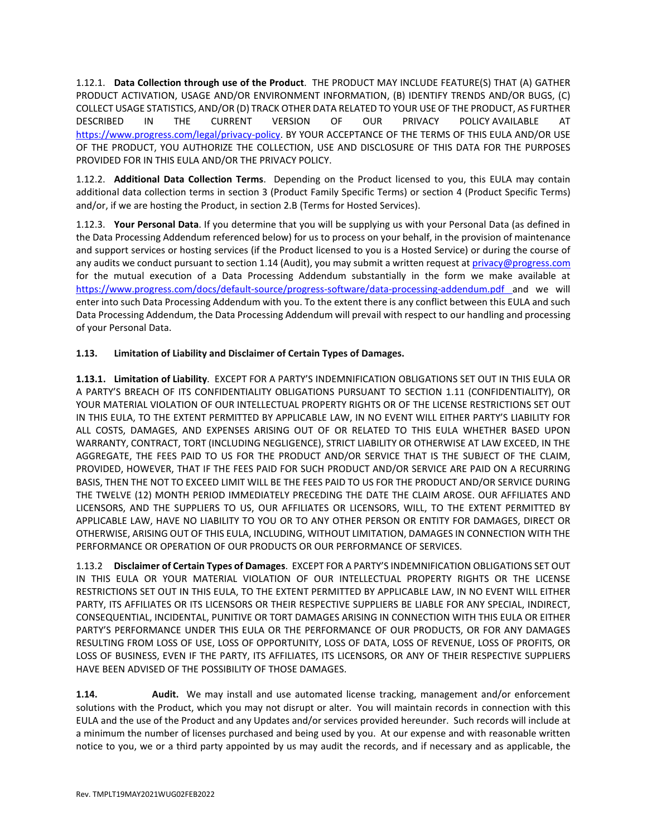1.12.1. **Data Collection through use of the Product**. THE PRODUCT MAY INCLUDE FEATURE(S) THAT (A) GATHER PRODUCT ACTIVATION, USAGE AND/OR ENVIRONMENT INFORMATION, (B) IDENTIFY TRENDS AND/OR BUGS, (C) COLLECT USAGE STATISTICS, AND/OR (D) TRACK OTHER DATA RELATED TO YOUR USE OF THE PRODUCT, AS FURTHER DESCRIBED IN THE CURRENT VERSION OF OUR PRIVACY POLICY AVAILABLE AT [https://www.progress.com/legal/privacy-policy.](https://www.progress.com/legal/privacy-policy) BY YOUR ACCEPTANCE OF THE TERMS OF THIS EULA AND/OR USE OF THE PRODUCT, YOU AUTHORIZE THE COLLECTION, USE AND DISCLOSURE OF THIS DATA FOR THE PURPOSES PROVIDED FOR IN THIS EULA AND/OR THE PRIVACY POLICY.

1.12.2. **Additional Data Collection Terms**. Depending on the Product licensed to you, this EULA may contain additional data collection terms in section 3 (Product Family Specific Terms) or section 4 (Product Specific Terms) and/or, if we are hosting the Product, in section 2.B (Terms for Hosted Services).

1.12.3. **Your Personal Data**. If you determine that you will be supplying us with your Personal Data (as defined in the Data Processing Addendum referenced below) for us to process on your behalf, in the provision of maintenance and support services or hosting services (if the Product licensed to you is a Hosted Service) or during the course of any audits we conduct pursuant to section 1.14 (Audit), you may submit a written request at privacy@progress.com for the mutual execution of a Data Processing Addendum substantially in the form we make available at <https://www.progress.com/docs/default-source/progress-software/data-processing-addendum.pdf> and we will enter into such Data Processing Addendum with you. To the extent there is any conflict between this EULA and such Data Processing Addendum, the Data Processing Addendum will prevail with respect to our handling and processing of your Personal Data.

## **1.13. Limitation of Liability and Disclaimer of Certain Types of Damages.**

**1.13.1. Limitation of Liability**. EXCEPT FOR A PARTY'S INDEMNIFICATION OBLIGATIONS SET OUT IN THIS EULA OR A PARTY'S BREACH OF ITS CONFIDENTIALITY OBLIGATIONS PURSUANT TO SECTION 1.11 (CONFIDENTIALITY), OR YOUR MATERIAL VIOLATION OF OUR INTELLECTUAL PROPERTY RIGHTS OR OF THE LICENSE RESTRICTIONS SET OUT IN THIS EULA, TO THE EXTENT PERMITTED BY APPLICABLE LAW, IN NO EVENT WILL EITHER PARTY'S LIABILITY FOR ALL COSTS, DAMAGES, AND EXPENSES ARISING OUT OF OR RELATED TO THIS EULA WHETHER BASED UPON WARRANTY, CONTRACT, TORT (INCLUDING NEGLIGENCE), STRICT LIABILITY OR OTHERWISE AT LAW EXCEED, IN THE AGGREGATE, THE FEES PAID TO US FOR THE PRODUCT AND/OR SERVICE THAT IS THE SUBJECT OF THE CLAIM, PROVIDED, HOWEVER, THAT IF THE FEES PAID FOR SUCH PRODUCT AND/OR SERVICE ARE PAID ON A RECURRING BASIS, THEN THE NOT TO EXCEED LIMIT WILL BE THE FEES PAID TO US FOR THE PRODUCT AND/OR SERVICE DURING THE TWELVE (12) MONTH PERIOD IMMEDIATELY PRECEDING THE DATE THE CLAIM AROSE. OUR AFFILIATES AND LICENSORS, AND THE SUPPLIERS TO US, OUR AFFILIATES OR LICENSORS, WILL, TO THE EXTENT PERMITTED BY APPLICABLE LAW, HAVE NO LIABILITY TO YOU OR TO ANY OTHER PERSON OR ENTITY FOR DAMAGES, DIRECT OR OTHERWISE, ARISING OUT OF THIS EULA, INCLUDING, WITHOUT LIMITATION, DAMAGES IN CONNECTION WITH THE PERFORMANCE OR OPERATION OF OUR PRODUCTS OR OUR PERFORMANCE OF SERVICES.

1.13.2 **Disclaimer of Certain Types of Damages**. EXCEPT FOR A PARTY'S INDEMNIFICATION OBLIGATIONS SET OUT IN THIS EULA OR YOUR MATERIAL VIOLATION OF OUR INTELLECTUAL PROPERTY RIGHTS OR THE LICENSE RESTRICTIONS SET OUT IN THIS EULA, TO THE EXTENT PERMITTED BY APPLICABLE LAW, IN NO EVENT WILL EITHER PARTY, ITS AFFILIATES OR ITS LICENSORS OR THEIR RESPECTIVE SUPPLIERS BE LIABLE FOR ANY SPECIAL, INDIRECT, CONSEQUENTIAL, INCIDENTAL, PUNITIVE OR TORT DAMAGES ARISING IN CONNECTION WITH THIS EULA OR EITHER PARTY'S PERFORMANCE UNDER THIS EULA OR THE PERFORMANCE OF OUR PRODUCTS, OR FOR ANY DAMAGES RESULTING FROM LOSS OF USE, LOSS OF OPPORTUNITY, LOSS OF DATA, LOSS OF REVENUE, LOSS OF PROFITS, OR LOSS OF BUSINESS, EVEN IF THE PARTY, ITS AFFILIATES, ITS LICENSORS, OR ANY OF THEIR RESPECTIVE SUPPLIERS HAVE BEEN ADVISED OF THE POSSIBILITY OF THOSE DAMAGES.

**1.14. Audit.** We may install and use automated license tracking, management and/or enforcement solutions with the Product, which you may not disrupt or alter. You will maintain records in connection with this EULA and the use of the Product and any Updates and/or services provided hereunder. Such records will include at a minimum the number of licenses purchased and being used by you. At our expense and with reasonable written notice to you, we or a third party appointed by us may audit the records, and if necessary and as applicable, the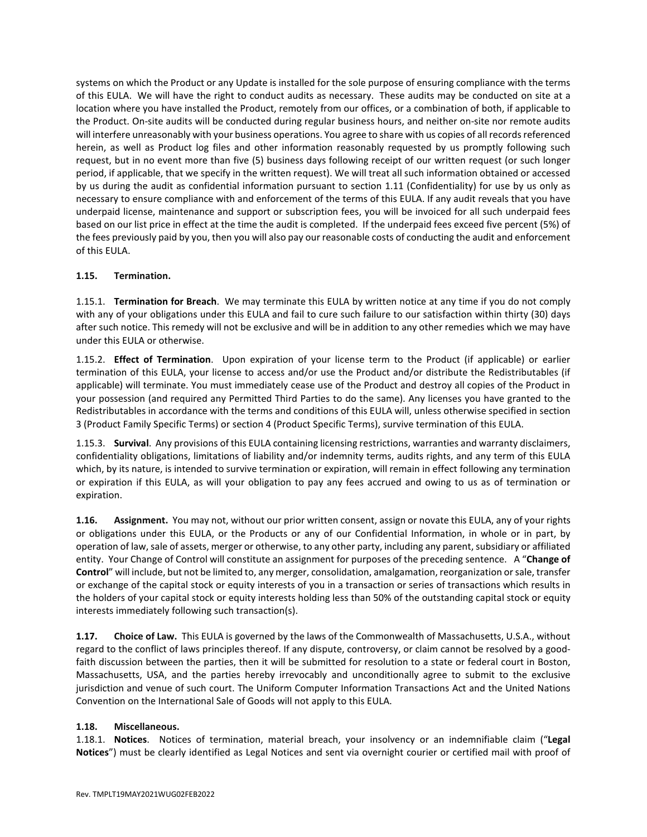systems on which the Product or any Update is installed for the sole purpose of ensuring compliance with the terms of this EULA. We will have the right to conduct audits as necessary. These audits may be conducted on site at a location where you have installed the Product, remotely from our offices, or a combination of both, if applicable to the Product. On-site audits will be conducted during regular business hours, and neither on-site nor remote audits will interfere unreasonably with your business operations. You agree to share with us copies of all records referenced herein, as well as Product log files and other information reasonably requested by us promptly following such request, but in no event more than five (5) business days following receipt of our written request (or such longer period, if applicable, that we specify in the written request). We will treat all such information obtained or accessed by us during the audit as confidential information pursuant to section 1.11 (Confidentiality) for use by us only as necessary to ensure compliance with and enforcement of the terms of this EULA. If any audit reveals that you have underpaid license, maintenance and support or subscription fees, you will be invoiced for all such underpaid fees based on our list price in effect at the time the audit is completed. If the underpaid fees exceed five percent (5%) of the fees previously paid by you, then you will also pay our reasonable costs of conducting the audit and enforcement of this EULA.

## **1.15. Termination.**

1.15.1. **Termination for Breach**. We may terminate this EULA by written notice at any time if you do not comply with any of your obligations under this EULA and fail to cure such failure to our satisfaction within thirty (30) days after such notice. This remedy will not be exclusive and will be in addition to any other remedies which we may have under this EULA or otherwise.

1.15.2. **Effect of Termination**. Upon expiration of your license term to the Product (if applicable) or earlier termination of this EULA, your license to access and/or use the Product and/or distribute the Redistributables (if applicable) will terminate. You must immediately cease use of the Product and destroy all copies of the Product in your possession (and required any Permitted Third Parties to do the same). Any licenses you have granted to the Redistributables in accordance with the terms and conditions of this EULA will, unless otherwise specified in section 3 (Product Family Specific Terms) or section 4 (Product Specific Terms), survive termination of this EULA.

1.15.3. **Survival**. Any provisions of this EULA containing licensing restrictions, warranties and warranty disclaimers, confidentiality obligations, limitations of liability and/or indemnity terms, audits rights, and any term of this EULA which, by its nature, is intended to survive termination or expiration, will remain in effect following any termination or expiration if this EULA, as will your obligation to pay any fees accrued and owing to us as of termination or expiration.

**1.16. Assignment.** You may not, without our prior written consent, assign or novate this EULA, any of your rights or obligations under this EULA, or the Products or any of our Confidential Information, in whole or in part, by operation of law, sale of assets, merger or otherwise, to any other party, including any parent, subsidiary or affiliated entity. Your Change of Control will constitute an assignment for purposes of the preceding sentence. A "**Change of Control**" will include, but not be limited to, any merger, consolidation, amalgamation, reorganization or sale, transfer or exchange of the capital stock or equity interests of you in a transaction or series of transactions which results in the holders of your capital stock or equity interests holding less than 50% of the outstanding capital stock or equity interests immediately following such transaction(s).

**1.17. Choice of Law.** This EULA is governed by the laws of the Commonwealth of Massachusetts, U.S.A., without regard to the conflict of laws principles thereof. If any dispute, controversy, or claim cannot be resolved by a goodfaith discussion between the parties, then it will be submitted for resolution to a state or federal court in Boston, Massachusetts, USA, and the parties hereby irrevocably and unconditionally agree to submit to the exclusive jurisdiction and venue of such court. The Uniform Computer Information Transactions Act and the United Nations Convention on the International Sale of Goods will not apply to this EULA.

### **1.18. Miscellaneous.**

1.18.1. **Notices**. Notices of termination, material breach, your insolvency or an indemnifiable claim ("**Legal Notices**") must be clearly identified as Legal Notices and sent via overnight courier or certified mail with proof of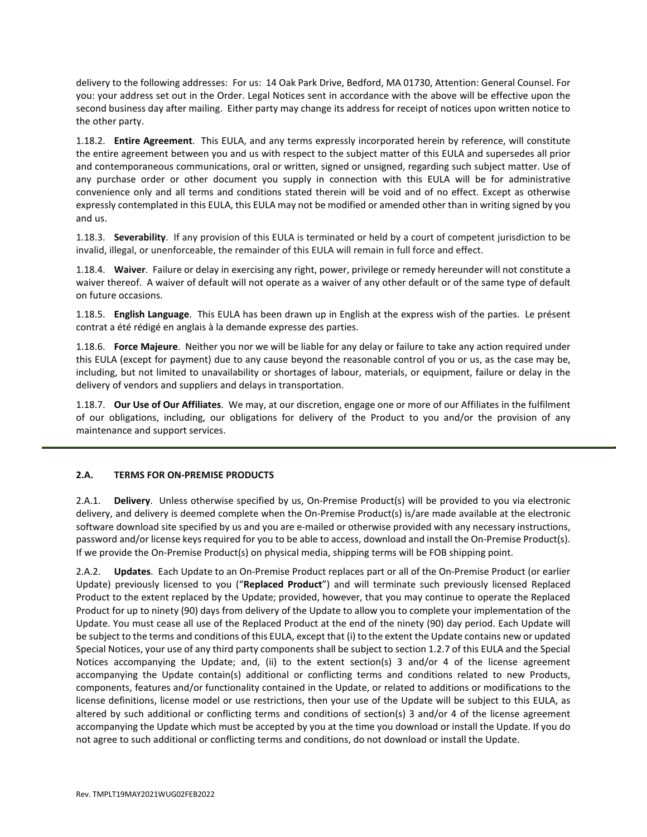delivery to the following addresses: For us: 14 Oak Park Drive, Bedford, MA 01730, Attention: General Counsel. For you: your address set out in the Order. Legal Notices sent in accordance with the above will be effective upon the second business day after mailing. Either party may change its address for receipt of notices upon written notice to the other party.

1.18.2. **Entire Agreement**. This EULA, and any terms expressly incorporated herein by reference, will constitute the entire agreement between you and us with respect to the subject matter of this EULA and supersedes all prior and contemporaneous communications, oral or written, signed or unsigned, regarding such subject matter. Use of any purchase order or other document you supply in connection with this EULA will be for administrative convenience only and all terms and conditions stated therein will be void and of no effect. Except as otherwise expressly contemplated in this EULA, this EULA may not be modified or amended other than in writing signed by you and us.

1.18.3. **Severability**. If any provision of this EULA is terminated or held by a court of competent jurisdiction to be invalid, illegal, or unenforceable, the remainder of this EULA will remain in full force and effect.

1.18.4. **Waiver**. Failure or delay in exercising any right, power, privilege or remedy hereunder will not constitute a waiver thereof. A waiver of default will not operate as a waiver of any other default or of the same type of default on future occasions.

1.18.5. **English Language**. This EULA has been drawn up in English at the express wish of the parties. Le présent contrat a été rédigé en anglais à la demande expresse des parties.

1.18.6. **Force Majeure**. Neither you nor we will be liable for any delay or failure to take any action required under this EULA (except for payment) due to any cause beyond the reasonable control of you or us, as the case may be, including, but not limited to unavailability or shortages of labour, materials, or equipment, failure or delay in the delivery of vendors and suppliers and delays in transportation.

1.18.7. **Our Use of Our Affiliates**. We may, at our discretion, engage one or more of our Affiliates in the fulfilment of our obligations, including, our obligations for delivery of the Product to you and/or the provision of any maintenance and support services.

### <span id="page-10-0"></span>**2.A. TERMS FOR ON-PREMISE PRODUCTS**

2.A.1. **Delivery**. Unless otherwise specified by us, On-Premise Product(s) will be provided to you via electronic delivery, and delivery is deemed complete when the On-Premise Product(s) is/are made available at the electronic software download site specified by us and you are e-mailed or otherwise provided with any necessary instructions, password and/or license keys required for you to be able to access, download and install the On-Premise Product(s). If we provide the On-Premise Product(s) on physical media, shipping terms will be FOB shipping point.

2.A.2. **Updates**. Each Update to an On-Premise Product replaces part or all of the On-Premise Product (or earlier Update) previously licensed to you ("**Replaced Product**") and will terminate such previously licensed Replaced Product to the extent replaced by the Update; provided, however, that you may continue to operate the Replaced Product for up to ninety (90) days from delivery of the Update to allow you to complete your implementation of the Update. You must cease all use of the Replaced Product at the end of the ninety (90) day period. Each Update will be subject to the terms and conditions of this EULA, except that (i) to the extent the Update contains new or updated Special Notices, your use of any third party components shall be subject to section 1.2.7 of this EULA and the Special Notices accompanying the Update; and, (ii) to the extent section(s) 3 and/or 4 of the license agreement accompanying the Update contain(s) additional or conflicting terms and conditions related to new Products, components, features and/or functionality contained in the Update, or related to additions or modifications to the license definitions, license model or use restrictions, then your use of the Update will be subject to this EULA, as altered by such additional or conflicting terms and conditions of section(s) 3 and/or 4 of the license agreement accompanying the Update which must be accepted by you at the time you download or install the Update. If you do not agree to such additional or conflicting terms and conditions, do not download or install the Update.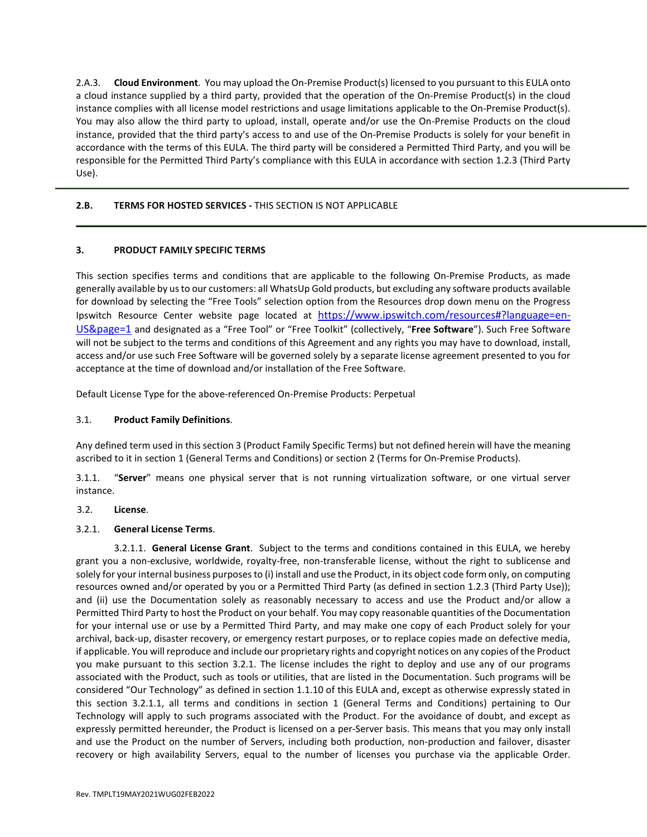2.A.3. **Cloud Environment**. You may upload the On-Premise Product(s) licensed to you pursuant to this EULA onto a cloud instance supplied by a third party, provided that the operation of the On-Premise Product(s) in the cloud instance complies with all license model restrictions and usage limitations applicable to the On-Premise Product(s). You may also allow the third party to upload, install, operate and/or use the On-Premise Products on the cloud instance, provided that the third party's access to and use of the On-Premise Products is solely for your benefit in accordance with the terms of this EULA. The third party will be considered a Permitted Third Party, and you will be responsible for the Permitted Third Party's compliance with this EULA in accordance with section 1.2.3 (Third Party Use).

## **2.B. TERMS FOR HOSTED SERVICES -** THIS SECTION IS NOT APPLICABLE

### <span id="page-11-0"></span>**3. PRODUCT FAMILY SPECIFIC TERMS**

This section specifies terms and conditions that are applicable to the following On-Premise Products, as made generally available by us to our customers: all WhatsUp Gold products, but excluding any software products available for download by selecting the "Free Tools" selection option from the Resources drop down menu on the Progress Ipswitch Resource Center website page located at [https://www.ipswitch.com/resources#?language=en-](https://www.ipswitch.com/resources#?language=en-US&page=1)[US&page=1](https://www.ipswitch.com/resources#?language=en-US&page=1) and designated as a "Free Tool" or "Free Toolkit" (collectively, "**Free Software**"). Such Free Software will not be subject to the terms and conditions of this Agreement and any rights you may have to download, install, access and/or use such Free Software will be governed solely by a separate license agreement presented to you for acceptance at the time of download and/or installation of the Free Software.

Default License Type for the above-referenced On-Premise Products: Perpetual

## 3.1. **Product Family Definitions**.

Any defined term used in this section 3 (Product Family Specific Terms) but not defined herein will have the meaning ascribed to it in section 1 (General Terms and Conditions) or section 2 (Terms for On-Premise Products).

3.1.1. "**Server**" means one physical server that is not running virtualization software, or one virtual server instance.

### 3.2. **License**.

### 3.2.1. **General License Terms**.

3.2.1.1. **General License Grant**. Subject to the terms and conditions contained in this EULA, we hereby grant you a non-exclusive, worldwide, royalty-free, non-transferable license, without the right to sublicense and solely for your internal business purposes to (i) install and use the Product, in its object code form only, on computing resources owned and/or operated by you or a Permitted Third Party (as defined in section 1.2.3 (Third Party Use)); and (ii) use the Documentation solely as reasonably necessary to access and use the Product and/or allow a Permitted Third Party to host the Product on your behalf. You may copy reasonable quantities of the Documentation for your internal use or use by a Permitted Third Party, and may make one copy of each Product solely for your archival, back-up, disaster recovery, or emergency restart purposes, or to replace copies made on defective media, if applicable. You will reproduce and include our proprietary rights and copyright notices on any copies of the Product you make pursuant to this section 3.2.1. The license includes the right to deploy and use any of our programs associated with the Product, such as tools or utilities, that are listed in the Documentation. Such programs will be considered "Our Technology" as defined in section 1.1.10 of this EULA and, except as otherwise expressly stated in this section 3.2.1.1, all terms and conditions in section 1 (General Terms and Conditions) pertaining to Our Technology will apply to such programs associated with the Product. For the avoidance of doubt, and except as expressly permitted hereunder, the Product is licensed on a per-Server basis. This means that you may only install and use the Product on the number of Servers, including both production, non-production and failover, disaster recovery or high availability Servers, equal to the number of licenses you purchase via the applicable Order.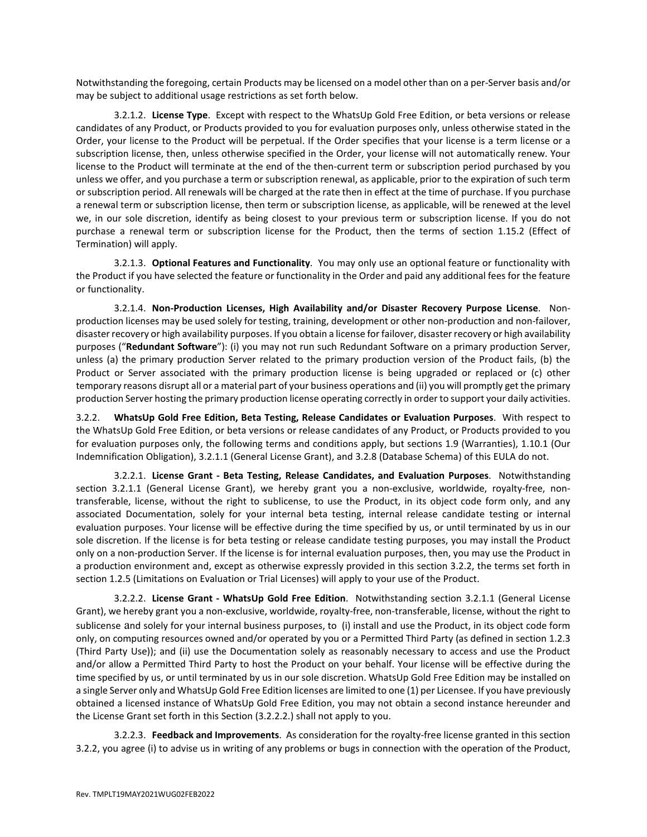Notwithstanding the foregoing, certain Products may be licensed on a model other than on a per-Server basis and/or may be subject to additional usage restrictions as set forth below.

3.2.1.2. **License Type**. Except with respect to the WhatsUp Gold Free Edition, or beta versions or release candidates of any Product, or Products provided to you for evaluation purposes only, unless otherwise stated in the Order, your license to the Product will be perpetual. If the Order specifies that your license is a term license or a subscription license, then, unless otherwise specified in the Order, your license will not automatically renew. Your license to the Product will terminate at the end of the then-current term or subscription period purchased by you unless we offer, and you purchase a term or subscription renewal, as applicable, prior to the expiration of such term or subscription period. All renewals will be charged at the rate then in effect at the time of purchase. If you purchase a renewal term or subscription license, then term or subscription license, as applicable, will be renewed at the level we, in our sole discretion, identify as being closest to your previous term or subscription license. If you do not purchase a renewal term or subscription license for the Product, then the terms of section 1.15.2 (Effect of Termination) will apply.

3.2.1.3. **Optional Features and Functionality**. You may only use an optional feature or functionality with the Product if you have selected the feature or functionality in the Order and paid any additional fees for the feature or functionality.

3.2.1.4. **Non-Production Licenses, High Availability and/or Disaster Recovery Purpose License**. Nonproduction licenses may be used solely for testing, training, development or other non-production and non-failover, disaster recovery or high availability purposes. If you obtain a license for failover, disaster recovery or high availability purposes ("**Redundant Software**"): (i) you may not run such Redundant Software on a primary production Server, unless (a) the primary production Server related to the primary production version of the Product fails, (b) the Product or Server associated with the primary production license is being upgraded or replaced or (c) other temporary reasons disrupt all or a material part of your business operations and (ii) you will promptly get the primary production Server hosting the primary production license operating correctly in order to support your daily activities.

3.2.2. **WhatsUp Gold Free Edition, Beta Testing, Release Candidates or Evaluation Purposes**. With respect to the WhatsUp Gold Free Edition, or beta versions or release candidates of any Product, or Products provided to you for evaluation purposes only, the following terms and conditions apply, but sections 1.9 (Warranties), 1.10.1 (Our Indemnification Obligation), 3.2.1.1 (General License Grant), and 3.2.8 (Database Schema) of this EULA do not.

3.2.2.1. **License Grant - Beta Testing, Release Candidates, and Evaluation Purposes**. Notwithstanding section 3.2.1.1 (General License Grant), we hereby grant you a non-exclusive, worldwide, royalty-free, nontransferable, license, without the right to sublicense, to use the Product, in its object code form only, and any associated Documentation, solely for your internal beta testing, internal release candidate testing or internal evaluation purposes. Your license will be effective during the time specified by us, or until terminated by us in our sole discretion. If the license is for beta testing or release candidate testing purposes, you may install the Product only on a non-production Server. If the license is for internal evaluation purposes, then, you may use the Product in a production environment and, except as otherwise expressly provided in this section 3.2.2, the terms set forth in section 1.2.5 (Limitations on Evaluation or Trial Licenses) will apply to your use of the Product.

3.2.2.2. **License Grant - WhatsUp Gold Free Edition**. Notwithstanding section 3.2.1.1 (General License Grant), we hereby grant you a non-exclusive, worldwide, royalty-free, non-transferable, license, without the right to sublicense and solely for your internal business purposes, to (i) install and use the Product, in its object code form only, on computing resources owned and/or operated by you or a Permitted Third Party (as defined in section 1.2.3 (Third Party Use)); and (ii) use the Documentation solely as reasonably necessary to access and use the Product and/or allow a Permitted Third Party to host the Product on your behalf. Your license will be effective during the time specified by us, or until terminated by us in our sole discretion. WhatsUp Gold Free Edition may be installed on a single Server only and WhatsUp Gold Free Edition licenses are limited to one (1) per Licensee. If you have previously obtained a licensed instance of WhatsUp Gold Free Edition, you may not obtain a second instance hereunder and the License Grant set forth in this Section (3.2.2.2.) shall not apply to you.

3.2.2.3. **Feedback and Improvements**. As consideration for the royalty-free license granted in this section 3.2.2, you agree (i) to advise us in writing of any problems or bugs in connection with the operation of the Product,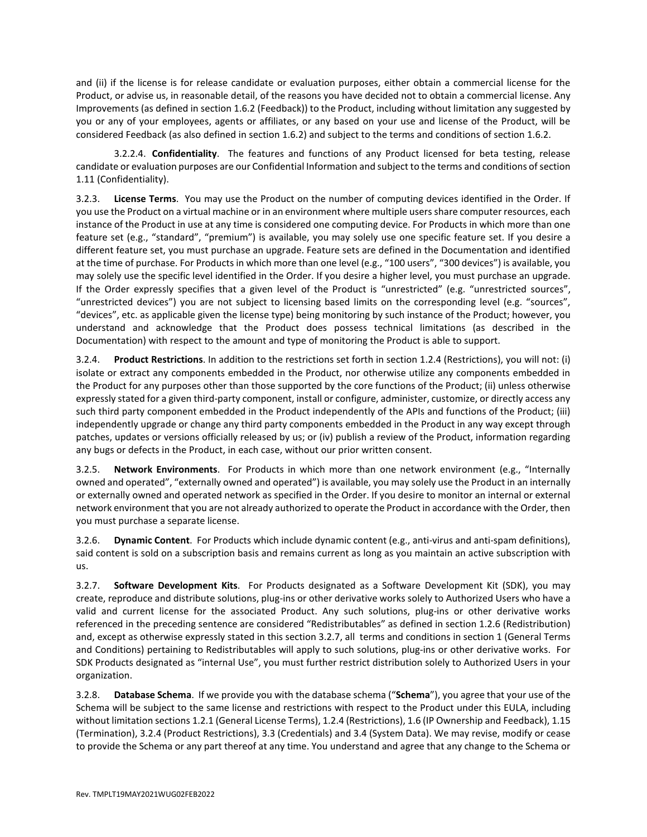and (ii) if the license is for release candidate or evaluation purposes, either obtain a commercial license for the Product, or advise us, in reasonable detail, of the reasons you have decided not to obtain a commercial license. Any Improvements (as defined in section 1.6.2 (Feedback)) to the Product, including without limitation any suggested by you or any of your employees, agents or affiliates, or any based on your use and license of the Product, will be considered Feedback (as also defined in section 1.6.2) and subject to the terms and conditions of section 1.6.2.

3.2.2.4. **Confidentiality**. The features and functions of any Product licensed for beta testing, release candidate or evaluation purposes are our Confidential Information and subject to the terms and conditions of section 1.11 (Confidentiality).

3.2.3. **License Terms**. You may use the Product on the number of computing devices identified in the Order. If you use the Product on a virtual machine or in an environment where multiple users share computer resources, each instance of the Product in use at any time is considered one computing device. For Products in which more than one feature set (e.g., "standard", "premium") is available, you may solely use one specific feature set. If you desire a different feature set, you must purchase an upgrade. Feature sets are defined in the Documentation and identified at the time of purchase. For Products in which more than one level (e.g., "100 users", "300 devices") is available, you may solely use the specific level identified in the Order. If you desire a higher level, you must purchase an upgrade. If the Order expressly specifies that a given level of the Product is "unrestricted" (e.g. "unrestricted sources", "unrestricted devices") you are not subject to licensing based limits on the corresponding level (e.g. "sources", "devices", etc. as applicable given the license type) being monitoring by such instance of the Product; however, you understand and acknowledge that the Product does possess technical limitations (as described in the Documentation) with respect to the amount and type of monitoring the Product is able to support.

3.2.4. **Product Restrictions**. In addition to the restrictions set forth in section 1.2.4 (Restrictions), you will not: (i) isolate or extract any components embedded in the Product, nor otherwise utilize any components embedded in the Product for any purposes other than those supported by the core functions of the Product; (ii) unless otherwise expressly stated for a given third-party component, install or configure, administer, customize, or directly access any such third party component embedded in the Product independently of the APIs and functions of the Product; (iii) independently upgrade or change any third party components embedded in the Product in any way except through patches, updates or versions officially released by us; or (iv) publish a review of the Product, information regarding any bugs or defects in the Product, in each case, without our prior written consent.

3.2.5. **Network Environments**. For Products in which more than one network environment (e.g., "Internally owned and operated", "externally owned and operated") is available, you may solely use the Product in an internally or externally owned and operated network as specified in the Order. If you desire to monitor an internal or external network environment that you are not already authorized to operate the Product in accordance with the Order, then you must purchase a separate license.

3.2.6. **Dynamic Content**. For Products which include dynamic content (e.g., anti-virus and anti-spam definitions), said content is sold on a subscription basis and remains current as long as you maintain an active subscription with us.

3.2.7. **Software Development Kits**. For Products designated as a Software Development Kit (SDK), you may create, reproduce and distribute solutions, plug-ins or other derivative works solely to Authorized Users who have a valid and current license for the associated Product. Any such solutions, plug-ins or other derivative works referenced in the preceding sentence are considered "Redistributables" as defined in section 1.2.6 (Redistribution) and, except as otherwise expressly stated in this section 3.2.7, all terms and conditions in section 1 (General Terms and Conditions) pertaining to Redistributables will apply to such solutions, plug-ins or other derivative works. For SDK Products designated as "internal Use", you must further restrict distribution solely to Authorized Users in your organization.

3.2.8. **Database Schema**. If we provide you with the database schema ("**Schema**"), you agree that your use of the Schema will be subject to the same license and restrictions with respect to the Product under this EULA, including without limitation sections 1.2.1 (General License Terms), 1.2.4 (Restrictions), 1.6 (IP Ownership and Feedback), 1.15 (Termination), 3.2.4 (Product Restrictions), 3.3 (Credentials) and 3.4 (System Data). We may revise, modify or cease to provide the Schema or any part thereof at any time. You understand and agree that any change to the Schema or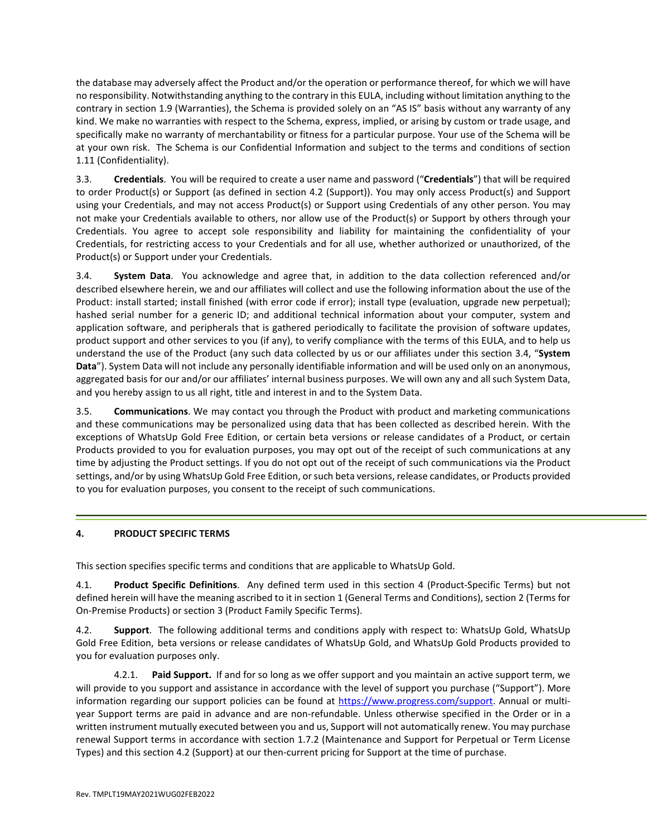the database may adversely affect the Product and/or the operation or performance thereof, for which we will have no responsibility. Notwithstanding anything to the contrary in this EULA, including without limitation anything to the contrary in section 1.9 (Warranties), the Schema is provided solely on an "AS IS" basis without any warranty of any kind. We make no warranties with respect to the Schema, express, implied, or arising by custom or trade usage, and specifically make no warranty of merchantability or fitness for a particular purpose. Your use of the Schema will be at your own risk. The Schema is our Confidential Information and subject to the terms and conditions of section 1.11 (Confidentiality).

3.3. **Credentials**. You will be required to create a user name and password ("**Credentials**") that will be required to order Product(s) or Support (as defined in section 4.2 (Support)). You may only access Product(s) and Support using your Credentials, and may not access Product(s) or Support using Credentials of any other person. You may not make your Credentials available to others, nor allow use of the Product(s) or Support by others through your Credentials. You agree to accept sole responsibility and liability for maintaining the confidentiality of your Credentials, for restricting access to your Credentials and for all use, whether authorized or unauthorized, of the Product(s) or Support under your Credentials.

3.4. **System Data**. You acknowledge and agree that, in addition to the data collection referenced and/or described elsewhere herein, we and our affiliates will collect and use the following information about the use of the Product: install started; install finished (with error code if error); install type (evaluation, upgrade new perpetual); hashed serial number for a generic ID; and additional technical information about your computer, system and application software, and peripherals that is gathered periodically to facilitate the provision of software updates, product support and other services to you (if any), to verify compliance with the terms of this EULA, and to help us understand the use of the Product (any such data collected by us or our affiliates under this section 3.4, "**System Data**"). System Data will not include any personally identifiable information and will be used only on an anonymous, aggregated basis for our and/or our affiliates' internal business purposes. We will own any and all such System Data, and you hereby assign to us all right, title and interest in and to the System Data.

3.5. **Communications**. We may contact you through the Product with product and marketing communications and these communications may be personalized using data that has been collected as described herein. With the exceptions of WhatsUp Gold Free Edition, or certain beta versions or release candidates of a Product, or certain Products provided to you for evaluation purposes, you may opt out of the receipt of such communications at any time by adjusting the Product settings. If you do not opt out of the receipt of such communications via the Product settings, and/or by using WhatsUp Gold Free Edition, or such beta versions, release candidates, or Products provided to you for evaluation purposes, you consent to the receipt of such communications.

# **4. PRODUCT SPECIFIC TERMS**

<span id="page-14-0"></span>This section specifies specific terms and conditions that are applicable to WhatsUp Gold.

4.1. **Product Specific Definitions**. Any defined term used in this section 4 (Product-Specific Terms) but not defined herein will have the meaning ascribed to it in section 1 (General Terms and Conditions), section 2 (Terms for On-Premise Products) or section 3 (Product Family Specific Terms).

4.2. **Support**. The following additional terms and conditions apply with respect to: WhatsUp Gold, WhatsUp Gold Free Edition, beta versions or release candidates of WhatsUp Gold, and WhatsUp Gold Products provided to you for evaluation purposes only.

4.2.1. **Paid Support.** If and for so long as we offer support and you maintain an active support term, we will provide to you support and assistance in accordance with the level of support you purchase ("Support"). More information regarding our support policies can be found at [https://www.progress.com/support.](https://www.progress.com/support) Annual or multiyear Support terms are paid in advance and are non-refundable. Unless otherwise specified in the Order or in a written instrument mutually executed between you and us, Support will not automatically renew. You may purchase renewal Support terms in accordance with section 1.7.2 (Maintenance and Support for Perpetual or Term License Types) and this section 4.2 (Support) at our then-current pricing for Support at the time of purchase.